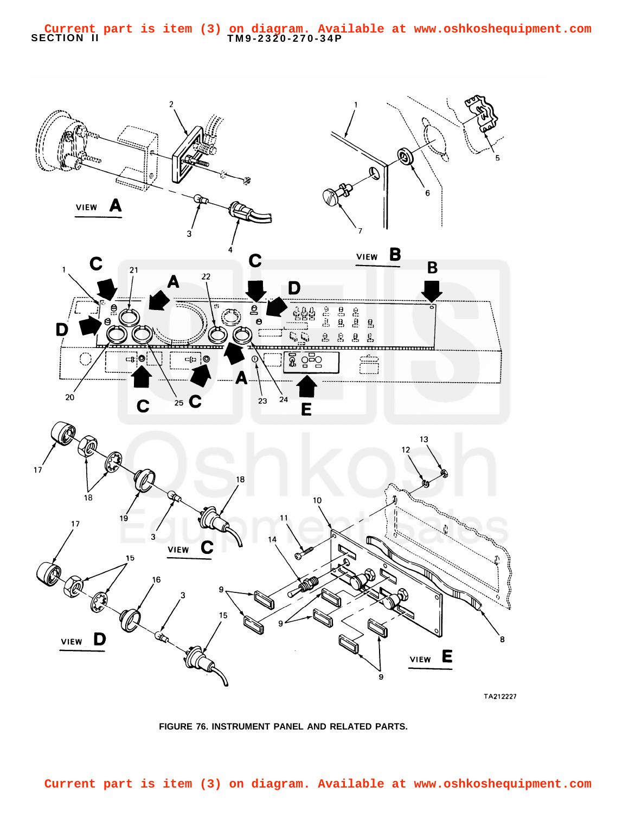<span id="page-0-0"></span>

**FIGURE 76. INSTRUMENT PANEL AND RELATED PARTS.**